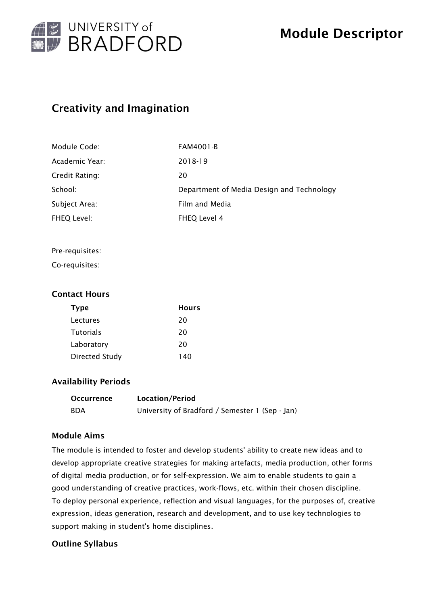

# Creativity and Imagination

| Module Code:   | <b>FAM4001-B</b>                          |
|----------------|-------------------------------------------|
| Academic Year: | 2018-19                                   |
| Credit Rating: | 20                                        |
| School:        | Department of Media Design and Technology |
| Subject Area:  | Film and Media                            |
| FHEQ Level:    | FHEQ Level 4                              |

#### Pre-requisites:

Co-requisites:

### Contact Hours

| <b>Type</b>           | <b>Hours</b> |
|-----------------------|--------------|
| Lectures              | 20           |
| <b>Tutorials</b>      | 20           |
| Laboratory            | 20           |
| <b>Directed Study</b> | 140          |

### Availability Periods

| Occurrence | Location/Period                                 |
|------------|-------------------------------------------------|
| <b>BDA</b> | University of Bradford / Semester 1 (Sep - Jan) |

### Module Aims

The module is intended to foster and develop students' ability to create new ideas and to develop appropriate creative strategies for making artefacts, media production, other forms of digital media production, or for self-expression. We aim to enable students to gain a good understanding of creative practices, work-flows, etc. within their chosen discipline. To deploy personal experience, reflection and visual languages, for the purposes of, creative expression, ideas generation, research and development, and to use key technologies to support making in student's home disciplines.

# Outline Syllabus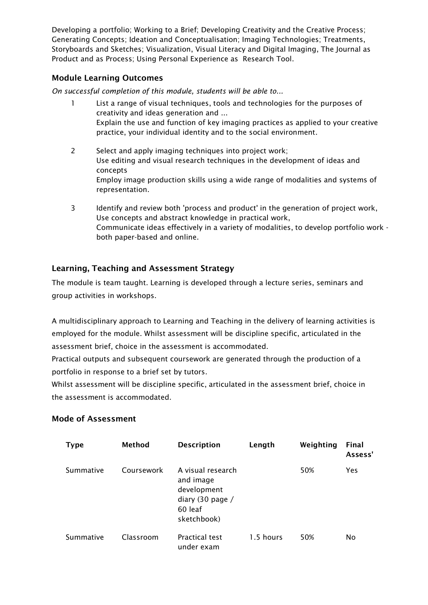Developing a portfolio; Working to a Brief; Developing Creativity and the Creative Process; Generating Concepts; Ideation and Conceptualisation; Imaging Technologies; Treatments, Storyboards and Sketches; Visualization, Visual Literacy and Digital Imaging, The Journal as Product and as Process; Using Personal Experience as Research Tool.

# Module Learning Outcomes

*On successful completion of this module, students will be able to...*

- 1 List a range of visual techniques, tools and technologies for the purposes of creativity and ideas generation and ... Explain the use and function of key imaging practices as applied to your creative practice, your individual identity and to the social environment.
- 2 Select and apply imaging techniques into project work; Use editing and visual research techniques in the development of ideas and concepts Employ image production skills using a wide range of modalities and systems of representation.
- 3 Identify and review both 'process and product' in the generation of project work, Use concepts and abstract knowledge in practical work, Communicate ideas effectively in a variety of modalities, to develop portfolio work both paper-based and online.

# Learning, Teaching and Assessment Strategy

The module is team taught. Learning is developed through a lecture series, seminars and group activities in workshops.

A multidisciplinary approach to Learning and Teaching in the delivery of learning activities is employed for the module. Whilst assessment will be discipline specific, articulated in the assessment brief, choice in the assessment is accommodated.

Practical outputs and subsequent coursework are generated through the production of a portfolio in response to a brief set by tutors.

Whilst assessment will be discipline specific, articulated in the assessment brief, choice in the assessment is accommodated.

| <b>Type</b> | Method     | <b>Description</b>                                                                          | Length    | Weighting | <b>Final</b><br>Assess' |
|-------------|------------|---------------------------------------------------------------------------------------------|-----------|-----------|-------------------------|
| Summative   | Coursework | A visual research<br>and image<br>development<br>diary (30 page /<br>60 leaf<br>sketchbook) |           | 50%       | Yes                     |
| Summative   | Classroom  | <b>Practical test</b><br>under exam                                                         | 1.5 hours | 50%       | No                      |

### Mode of Assessment